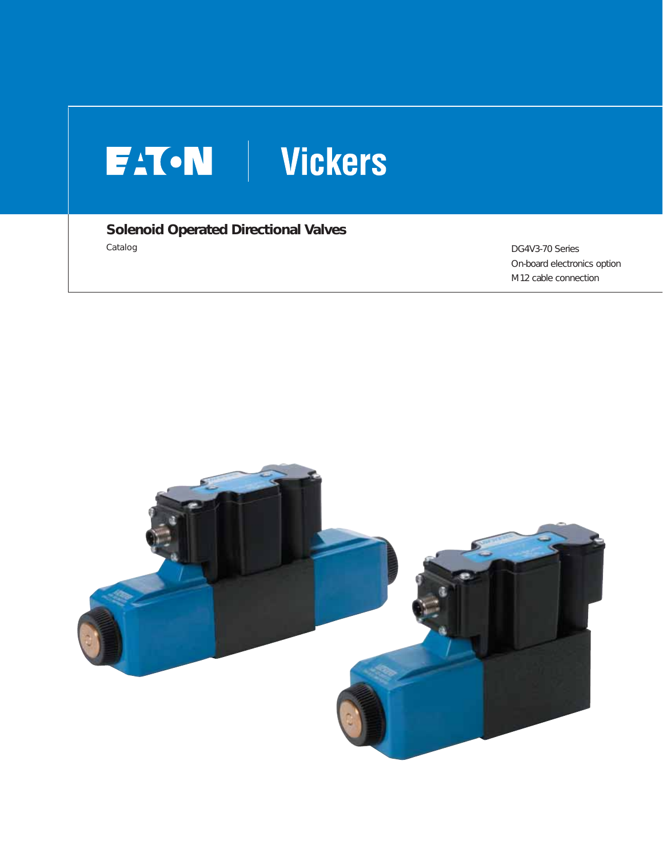# FAT.N Vickers

**Solenoid Operated Directional Valves**  Catalog DG4V3-70 Series

On-board electronics option M12 cable connection

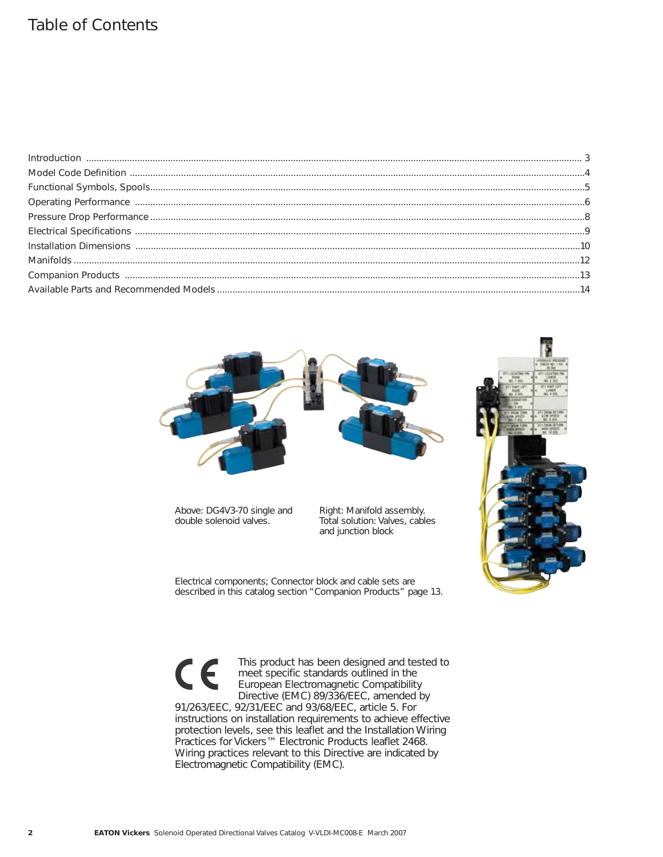## Table of Contents



Above: DG4V3-70 single and double solenoid valves.

Right: Manifold assembly. Total solution: Valves, cables and junction block



Electrical components; Connector block and cable sets are described in this catalog section "Companion Products" page 13.

This product has been designed and tested to  $\epsilon$ meet specific standards outlined in the European Electromagnetic Compatibility Directive (EMC) 89/336/EEC, amended by 91/263/EEC, 92/31/EEC and 93/68/EEC, article 5. For instructions on installation requirements to achieve effective protection levels, see this leaflet and the Installation Wiring Practices for Vickers™ Electronic Products leaflet 2468. Wiring practices relevant to this Directive are indicated by Electromagnetic Compatibility (EMC).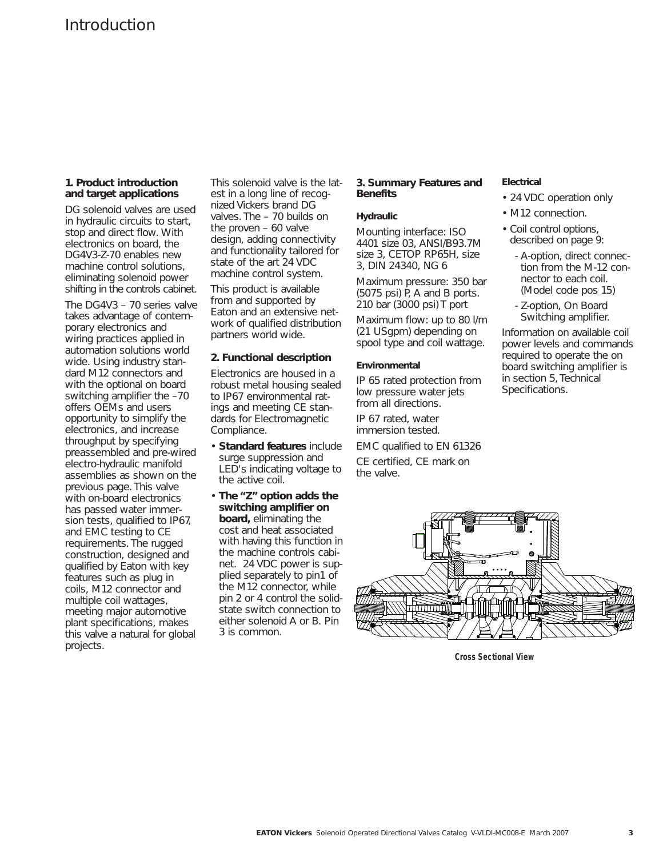#### **1. Product introduction and target applications**

DG solenoid valves are used in hydraulic circuits to start, stop and direct flow. With electronics on board, the DG4V3-Z-70 enables new machine control solutions, eliminating solenoid power shifting in the controls cabinet.

The DG4V3 – 70 series valve takes advantage of contemporary electronics and wiring practices applied in automation solutions world wide. Using industry standard M12 connectors and with the optional on board switching amplifier the –70 offers OEMs and users opportunity to simplify the electronics, and increase throughput by specifying preassembled and pre-wired electro-hydraulic manifold assemblies as shown on the previous page. This valve with on-board electronics has passed water immersion tests, qualified to IP67, and EMC testing to CE requirements. The rugged construction, designed and qualified by Eaton with key features such as plug in coils, M12 connector and multiple coil wattages, meeting major automotive plant specifications, makes this valve a natural for global projects.

This solenoid valve is the latest in a long line of recognized Vickers brand DG valves. The – 70 builds on the proven – 60 valve design, adding connectivity and functionality tailored for state of the art 24 VDC machine control system.

This product is available from and supported by Eaton and an extensive network of qualified distribution partners world wide.

#### **2. Functional description**

Electronics are housed in a robust metal housing sealed to IP67 environmental ratings and meeting CE standards for Electromagnetic Compliance.

- **Standard features** include surge suppression and LED's indicating voltage to the active coil.
- **The "Z" option adds the switching amplifier on board,** eliminating the cost and heat associated with having this function in the machine controls cabinet. 24 VDC power is supplied separately to pin1 of the M12 connector, while pin 2 or 4 control the solidstate switch connection to either solenoid A or B. Pin 3 is common.

#### **3. Summary Features and Benefits**

#### **Hydraulic**

Mounting interface: ISO 4401 size 03, ANSI/B93.7M size 3, CETOP RP65H, size 3, DIN 24340, NG 6

Maximum pressure: 350 bar (5075 psi) P, A and B ports. 210 bar (3000 psi) T port

Maximum flow: up to 80 l/m (21 USgpm) depending on spool type and coil wattage.

#### **Environmental**

IP 65 rated protection from low pressure water jets from all directions.

IP 67 rated, water immersion tested.

EMC qualified to EN 61326

CE certified, CE mark on the valve.

#### **Electrical**

- 24 VDC operation only
- M12 connection.
- Coil control options, described on page 9:
	- A-option, direct connection from the M-12 connector to each coil. (Model code pos 15)
	- Z-option, On Board Switching amplifier.

Information on available coil power levels and commands required to operate the on board switching amplifier is in section 5, Technical Specifications.



**Cross Sectional View**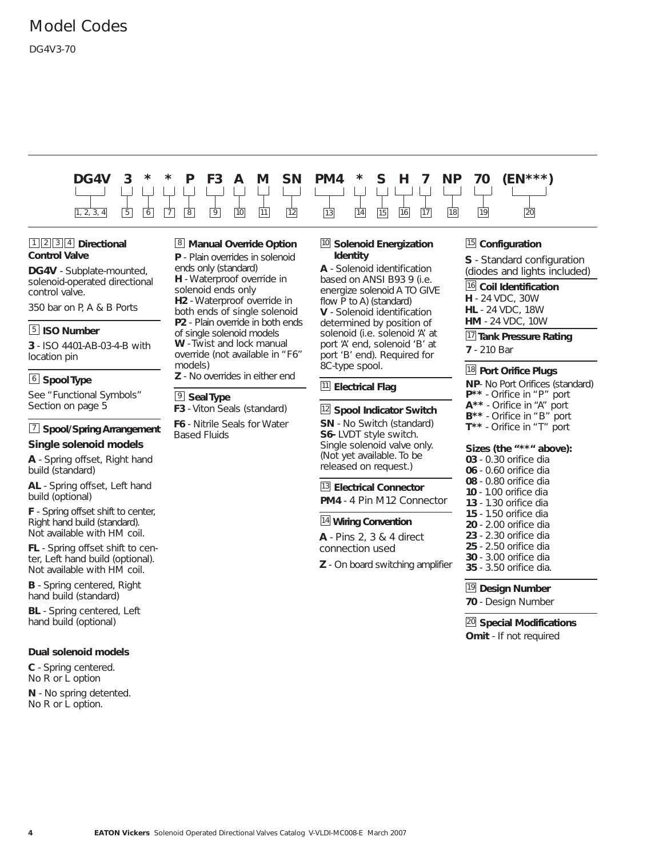## Model Codes

#### DG4V3-70

# **DG4V 3 \* \* P F3 A M SN PM4 \* S H 7 NP 70 (EN\*\*\*)** 1, 2, 3, 4 | 5 | 6 | 7 | 8 | 9 | 10 | <u>11 | 12 | 13 | 14 | 15 | 16 | 17 | 18 | 19</u> | 20

#### 1<sup>2</sup><sup>3</sup><sup>4</sup> Directional **Control Valve**

**DG4V** - Subplate-mounted, solenoid-operated directional control valve.

350 bar on P, A & B Ports

#### **S** ISO Number

**3** - ISO 4401-AB-03-4-B with location pin

#### $\underline{\raisebox{.3ex}{\scriptsize 6}}$  **Spool Type**

See "Functional Symbols" Section on page 5

#### **Spool/Spring Arrangement** 7 **Single solenoid models**

**A** - Spring offset, Right hand build (standard)

**AL** - Spring offset, Left hand build (optional)

**F** - Spring offset shift to center, Right hand build (standard). Not available with HM coil.

**FL** - Spring offset shift to center, Left hand build (optional). Not available with HM coil.

**B** - Spring centered, Right hand build (standard)

**BL** - Spring centered, Left hand build (optional)

#### **Dual solenoid models**

**C** - Spring centered. No R or L option

**N** - No spring detented. No R or L option.

#### **Manual Override Option** 8 **P** - Plain overrides in solenoid

ends only (standard) **H** - Waterproof override in solenoid ends only **H2** - Waterproof override in both ends of single solenoid **P2** - Plain override in both ends of single solenoid models **W** - Twist and lock manual override (not available in "F6" models)

**Z** - No overrides in either end

#### $9$  Seal Type

**F3** - Viton Seals (standard)

**F6** - Nitrile Seals for Water Based Fluids

#### 10 Solenoid Energization **Identity**

**A** - Solenoid identification based on ANSI B93 9 (i.e. energize solenoid A TO GIVE flow P to A) (standard) **V** - Solenoid identification determined by position of solenoid (i.e. solenoid 'A' at port 'A' end, solenoid 'B' at port 'B' end). Required for 8C-type spool.

#### **Electrical Flag** 11

#### <sup>12</sup> Spool Indicator Switch

**SN** - No Switch (standard) **S6-** LVDT style switch. Single solenoid valve only. (Not yet available. To be released on request.)

#### **Electrical Connector** 13

**PM4** - 4 Pin M12 Connector

#### **Wiring Convention** 14

**A** - Pins 2, 3 & 4 direct connection used

**Z** - On board switching amplifier

#### 15 Configuration

**S** - Standard configuration (diodes and lights included)

#### **Coil Identification** 16

**H** - 24 VDC, 30W **HL** - 24 VDC, 18W **HM** - 24 VDC, 10W

## **Tank Pressure Rating** 17

**7** - 210 Bar

#### **Port Orifice Plugs** 18

**NP**- No Port Orifices (standard) **P\*\*** - Orifice in "P" port **A\*\*** - Orifice in "A" port **B\*\*** - Orifice in "B" port **T\*\*** - Orifice in "T" port

#### **Sizes (the "\*\*" above):**

- **03**  0.30 orifice dia **06** - 0.60 orifice dia
- **08**  0.80 orifice dia
- **10**  1.00 orifice dia
- **13**  1.30 orifice dia
- **15**  1.50 orifice dia
- **20**  2.00 orifice dia
- **23**  2.30 orifice dia
- **25**  2.50 orifice dia
- **30**  3.00 orifice dia
- **35**  3.50 orifice dia.

#### <sup>19</sup> Design Number

**70** - Design Number

**Special Modifications** 20 **Omit** - If not required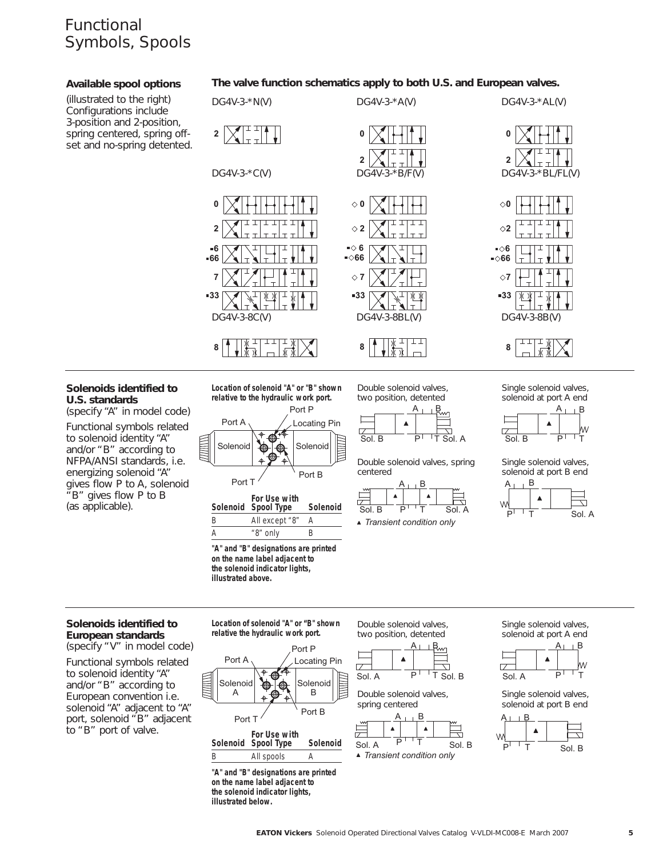## Functional Symbols, Spools

#### **Available spool options**

(illustrated to the right) Configurations include 3-position and 2-position, spring centered, spring offset and no-spring detented.

#### **The valve function schematics apply to both U.S. and European valves.**



#### **Solenoids identified to U.S. standards**

(specify "A" in model code)

Functional symbols related to solenoid identity "A" and/or "B" according to NFPA/ANSI standards, i.e. energizing solenoid "A" gives flow P to A, solenoid "B" gives flow P to B (as applicable).

**Location of solenoid "A" or "B" shown relative to the hydraulic work port.**



|   | For Use with<br>Solenoid Spool Type | Solenoid |
|---|-------------------------------------|----------|
| B | All except "8"                      |          |
|   | "8" only                            | R        |

**"A" and "B" designations are printed on the name label adjacent to the solenoid indicator lights, illustrated above.**

Double solenoid valves, two position, detented



Double solenoid valves, spring centered



A B Single solenoid valves, solenoid at port A end



Single solenoid valves, solenoid at port B end



#### **Solenoids identified to European standards**

(specify "V" in model code) Functional symbols related to solenoid identity "A" and/or "B" according to European convention i.e. solenoid "A" adjacent to "A" port, solenoid "B" adjacent to "B" port of valve.

**Location of solenoid "A" or "B" shown relative the hydraulic work port.**



Double solenoid valves, two position, detented



Double solenoid valves, spring centered



Single solenoid valves, solenoid at port A end



Single solenoid valves, solenoid at port B end



**"A" and "B" designations are printed on the name label adjacent to the solenoid indicator lights, illustrated below.**

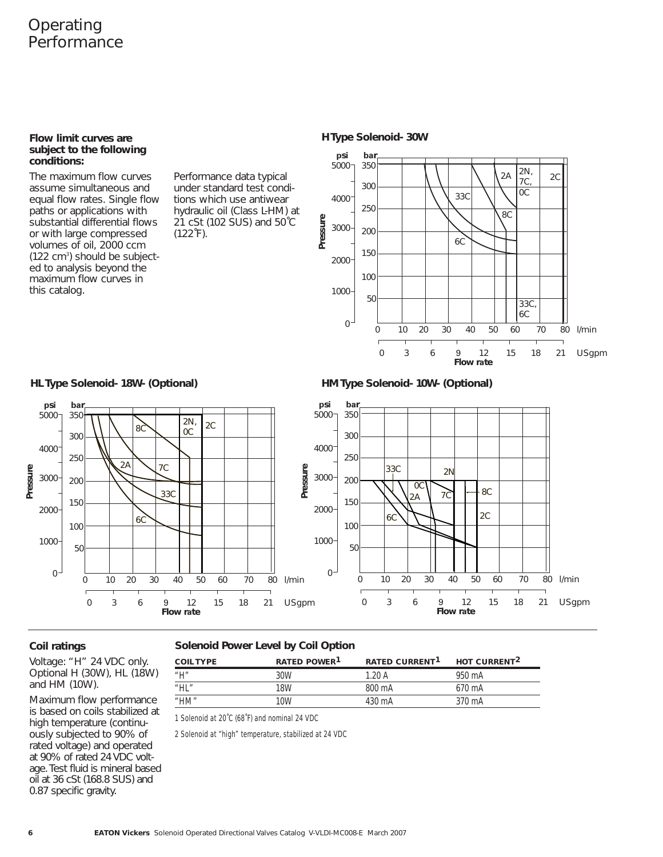## Operating **Performance**

#### **Flow limit curves are subject to the following conditions:**

The maximum flow curves assume simultaneous and equal flow rates. Single flow paths or applications with substantial differential flows or with large compressed volumes of oil, 2000 ccm (122 cm<sup>3</sup>) should be subjected to analysis beyond the maximum flow curves in this catalog.

Performance data typical under standard test conditions which use antiwear hydraulic oil (Class L-HM) at 21 cSt (102 SUS) and 50˚C  $(122 \text{°F})$ .





**HL Type Solenoid- 18W- (Optional) HM Type Solenoid- 10W- (Optional)** 



#### **Coil ratings**

Voltage: "H" 24 VDC only. Optional H (30W), HL (18W) and HM (10W).

Maximum flow performance is based on coils stabilized at high temperature (continuously subjected to 90% of rated voltage) and operated at 90% of rated 24 VDC voltage. Test fluid is mineral based oil at 36 cSt (168.8 SUS) and 0.87 specific gravity.

#### **Solenoid Power Level by Coil Option**

| <b>COIL TYPE</b>         | RATED POWER <sup>1</sup> | <b>RATED CURRENT<sup>1</sup></b> | HOT CURRENT <sup>2</sup> |
|--------------------------|--------------------------|----------------------------------|--------------------------|
| $^{\prime\prime}$ $\Box$ | 30W                      | 1.20 A                           | 950 mA                   |
| "HL"                     | 18W                      | 800 mA                           | $670 \text{ mA}$         |
| "HM"                     | 10W                      | 430 mA                           | 370 mA                   |
|                          |                          |                                  |                          |

1 Solenoid at 20°C (68°F) and nominal 24 VDC

2 Solenoid at "high" temperature, stabilized at 24 VDC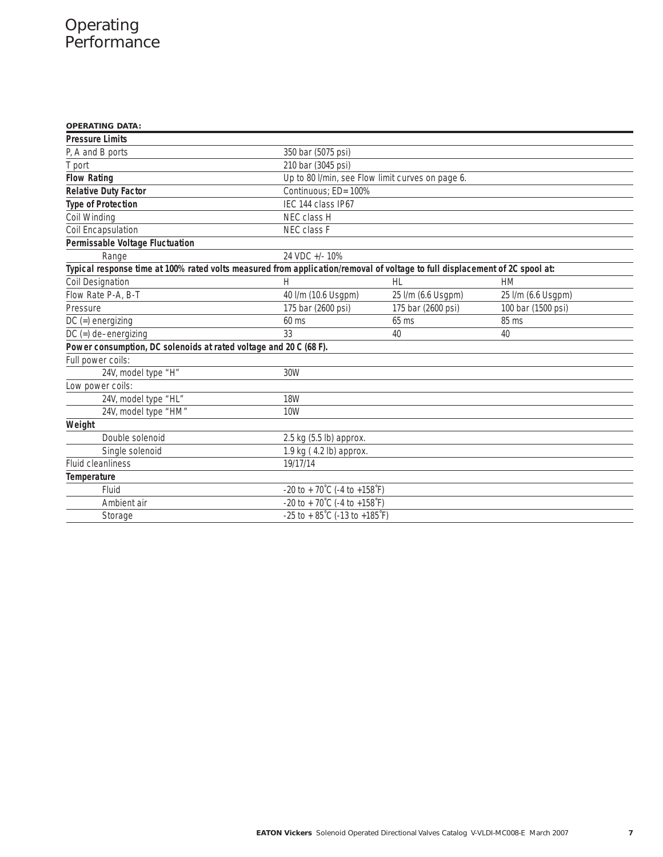## **Operating** Performance

| <b>OPERATING DATA:</b>                                                                                                      |                                                    |                    |                    |
|-----------------------------------------------------------------------------------------------------------------------------|----------------------------------------------------|--------------------|--------------------|
| <b>Pressure Limits</b>                                                                                                      |                                                    |                    |                    |
| P, A and B ports                                                                                                            | 350 bar (5075 psi)                                 |                    |                    |
| T port                                                                                                                      | 210 bar (3045 psi)                                 |                    |                    |
| <b>Flow Rating</b>                                                                                                          | Up to 80 I/min, see Flow limit curves on page 6.   |                    |                    |
| <b>Relative Duty Factor</b>                                                                                                 | Continuous: ED= 100%                               |                    |                    |
| <b>Type of Protection</b>                                                                                                   | IEC 144 class IP67                                 |                    |                    |
| Coil Winding                                                                                                                | NEC class H                                        |                    |                    |
| Coil Encapsulation                                                                                                          | NEC class F                                        |                    |                    |
| Permissable Voltage Fluctuation                                                                                             |                                                    |                    |                    |
| Range                                                                                                                       | 24 VDC +/- 10%                                     |                    |                    |
| Typical response time at 100% rated volts measured from application/removal of voltage to full displacement of 2C spool at: |                                                    |                    |                    |
| <b>Coil Designation</b>                                                                                                     | Н                                                  | HL                 | HM                 |
| Flow Rate P-A, B-T                                                                                                          | 40 l/m (10.6 Usgpm)                                | 25 I/m (6.6 Usgpm) | 25 I/m (6.6 Usgpm) |
| Pressure                                                                                                                    | 175 bar (2600 psi)                                 | 175 bar (2600 psi) | 100 bar (1500 psi) |
| $DC (=)$ energizing                                                                                                         | $60$ ms                                            | $65$ ms            | 85 ms              |
| $DC (=) de-energizing$                                                                                                      | 33                                                 | 40                 | 40                 |
| Power consumption, DC solenoids at rated voltage and 20 C (68 F).                                                           |                                                    |                    |                    |
| Full power coils:                                                                                                           |                                                    |                    |                    |
| 24V, model type "H"                                                                                                         | 30W                                                |                    |                    |
| Low power coils:                                                                                                            |                                                    |                    |                    |
| 24V, model type "HL"                                                                                                        | <b>18W</b>                                         |                    |                    |
| 24V, model type "HM"                                                                                                        | 10 <sub>W</sub>                                    |                    |                    |
| Weight                                                                                                                      |                                                    |                    |                    |
| Double solenoid                                                                                                             | $2.5$ kg $(5.5$ lb) approx.                        |                    |                    |
| Single solenoid                                                                                                             | 1.9 kg (4.2 lb) approx.                            |                    |                    |
| <b>Fluid cleanliness</b>                                                                                                    | 19/17/14                                           |                    |                    |
| Temperature                                                                                                                 |                                                    |                    |                    |
| Fluid                                                                                                                       | -20 to + 70°C (-4 to +158°F)                       |                    |                    |
| Ambient air                                                                                                                 | -20 to + 70°C (-4 to +158°F)                       |                    |                    |
| Storage                                                                                                                     | $-25$ to $+85^{\circ}$ C (-13 to $+185^{\circ}$ F) |                    |                    |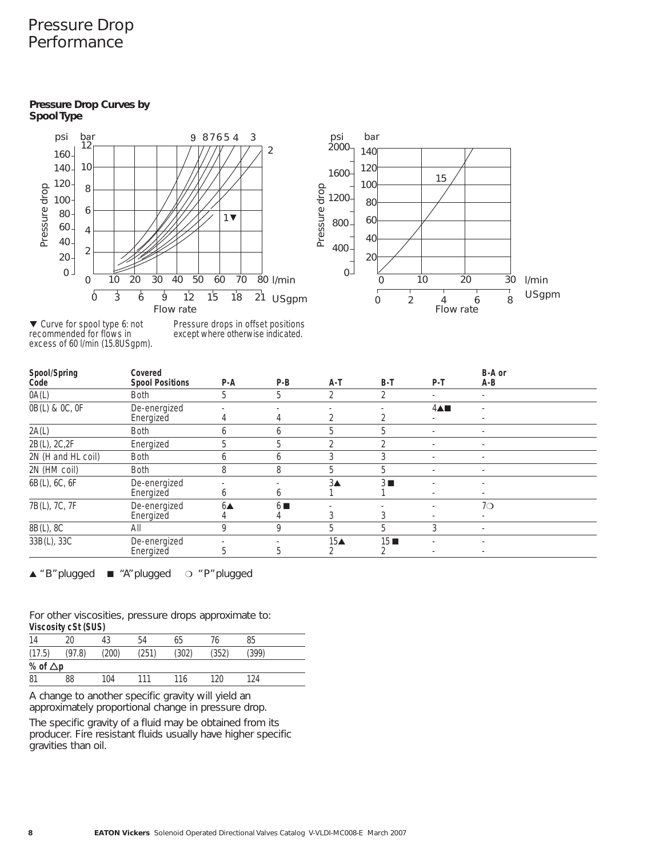## Pressure Drop **Performance**

#### **Pressure Drop Curves by Spool Type**





▼ Curve for spool type 6: not recommended for flows in excess of 60 l/min (15.8USgpm). Pressure drops in offset positions except where otherwise indicated.

| Spool/Spring<br>Code | Covered<br><b>Spool Positions</b> | P-A               | $P-B$            | A-T                | $B-T$            | P-T                        | B-A or<br>A-B                 |  |
|----------------------|-----------------------------------|-------------------|------------------|--------------------|------------------|----------------------------|-------------------------------|--|
| 0A(L)                | <b>Both</b>                       | 5                 | 5                | $\mathcal{D}$      | C.               |                            |                               |  |
| 0B(L) & 0C, 0F       | De-energized<br>Energized         |                   | 4                |                    |                  | $4 \triangle \blacksquare$ | $\overline{\phantom{a}}$<br>٠ |  |
| 2A(L)                | <b>Both</b>                       | 6                 | b                | 5                  | 5                | $\overline{\phantom{a}}$   |                               |  |
| 2B(L), 2C, 2F        | Energized                         | 5                 | 5                | $\mathfrak{D}$     | $\mathfrak{D}$   |                            | $\overline{\phantom{a}}$      |  |
| 2N (H and HL coil)   | <b>Both</b>                       | 6                 | b                | 3                  | 3                |                            |                               |  |
| 2N (HM coil)         | <b>Both</b>                       | 8                 | 8                | 5                  | 5                | ٠                          | ٠                             |  |
| 6B(L), 6C, 6F        | De-energized<br>Energized         | b                 | <sub>b</sub>     | $3\triangle$       | $3 \blacksquare$ |                            |                               |  |
| 7B(L), 7C, 7F        | De-energized<br>Energized         | $6\blacktriangle$ | $6 \blacksquare$ |                    |                  |                            | 7O                            |  |
| 8B(L), 8C            | All                               | 9                 | 9                | 5                  | 5                | 3                          |                               |  |
| 33B(L), 33C          | De-energized<br>Energized         | 5                 | 5                | $15\blacktriangle$ | 15               |                            |                               |  |

▲ "B"plugged ■ "A"plugged ❍ "P"plugged

For other viscosities, pressure drops approximate to: **Viscosity cSt (SUS)**

| 14              | 20     | 43    | 54    | 65    |       | 85    |  |
|-----------------|--------|-------|-------|-------|-------|-------|--|
| (17.5)          | (97.8) | (200) | (251) | (302) | (352) | (399) |  |
| % of $\Delta p$ |        |       |       |       |       |       |  |
| 81              | 88     | 104   | 111   | 116   | 120   | 124   |  |

A change to another specific gravity will yield an approximately proportional change in pressure drop.

The specific gravity of a fluid may be obtained from its producer. Fire resistant fluids usually have higher specific gravities than oil.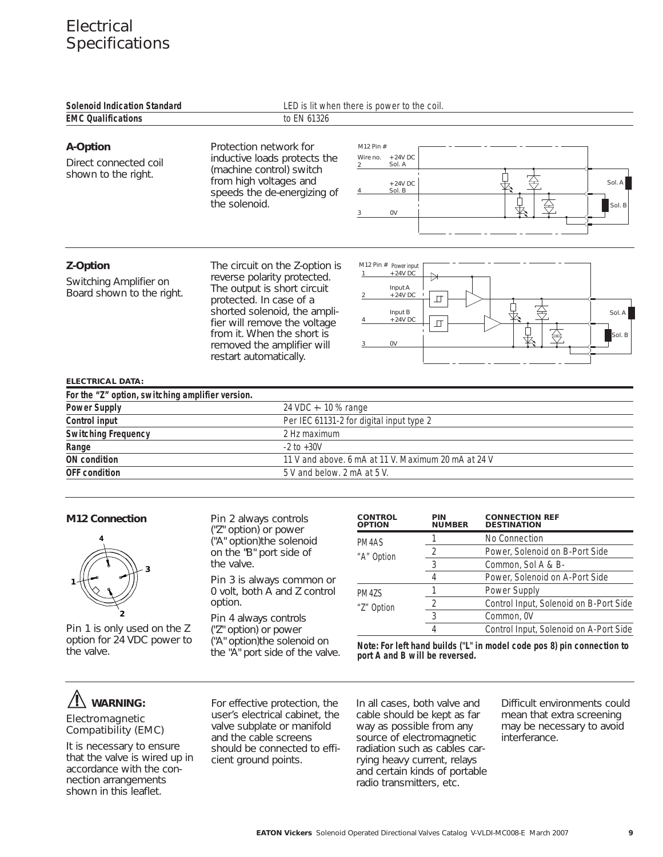## **Electrical Specifications**

| <b>Solenoid Indication Standard</b>                             |                                                                                                                                                                                                                                                                               | LED is lit when there is power to the coil.                                                                         |
|-----------------------------------------------------------------|-------------------------------------------------------------------------------------------------------------------------------------------------------------------------------------------------------------------------------------------------------------------------------|---------------------------------------------------------------------------------------------------------------------|
| <b>EMC Qualifications</b>                                       | to EN 61326                                                                                                                                                                                                                                                                   |                                                                                                                     |
| A-Option<br>Direct connected coil<br>shown to the right.        | Protection network for<br>inductive loads protects the<br>(machine control) switch<br>from high voltages and<br>speeds the de-energizing of<br>the solenoid.                                                                                                                  | M12 Pin #<br>Wire no.<br>+ 24V DC<br>Sol. A<br>Sol. A<br>$+24V$ DC<br>Sol. B<br>Sol. B<br>0V<br>3                   |
| Z-Option<br>Switching Amplifier on<br>Board shown to the right. | The circuit on the Z-option is<br>reverse polarity protected.<br>The output is short circuit<br>protected. In case of a<br>shorted solenoid, the ampli-<br>fier will remove the voltage<br>from it. When the short is<br>removed the amplifier will<br>restart automatically. | M12 Pin # Power input<br>+ 24V DC<br>Input A<br>+ 24V DC<br>Input B<br>Sol. A<br>+ 24V DC<br>$\Box$<br>Sol. B<br>0V |

#### **ELECTRICAL DATA:**

| For the "Z" option, switching amplifier version. |                                                     |  |  |  |
|--------------------------------------------------|-----------------------------------------------------|--|--|--|
| <b>Power Supply</b>                              | 24 VDC + - 10 % range                               |  |  |  |
| Control input                                    | Per IEC 61131-2 for digital input type 2            |  |  |  |
| <b>Switching Frequency</b>                       | 2 Hz maximum                                        |  |  |  |
| Range                                            | $-2$ to $+30V$                                      |  |  |  |
| ON condition                                     | 11 V and above, 6 mA at 11 V. Maximum 20 mA at 24 V |  |  |  |
| <b>OFF</b> condition                             | 5 V and below. 2 mA at 5 V.                         |  |  |  |

#### **M12 Connection**



Pin 1 is only used on the Z option for 24 VDC power to the valve.

Pin 2 always controls ("Z" option) or power ("A" option)the solenoid on the "B" port side of the valve.

Pin 3 is always common or 0 volt, both A and Z control option.

Pin 4 always controls ("Z" option) or power ("A" option)the solenoid on the "A" port side of the valve.

| <b>CONTROL</b><br><b>OPTION</b> | PIN<br><b>NUMBER</b> | <b>CONNECTION REF</b><br><b>DESTINATION</b> |
|---------------------------------|----------------------|---------------------------------------------|
| PM4AS                           |                      | No Connection                               |
| "A" Option                      |                      | Power, Solenoid on B-Port Side              |
|                                 | 3                    | Common, Sol A & B-                          |
|                                 |                      | Power, Solenoid on A-Port Side              |
| PM47S                           |                      | Power Supply                                |
| "Z" Option                      | 2                    | Control Input, Solenoid on B-Port Side      |
|                                 | 3                    | Common, 0V                                  |
|                                 |                      | Control Input, Solenoid on A-Port Side      |
|                                 |                      |                                             |

**Note: For left hand builds ("L" in model code pos 8) pin connection to port A and B will be reversed.**

### **WARNING:** Electromagnetic

## Compatibility (EMC)

It is necessary to ensure that the valve is wired up in accordance with the connection arrangements shown in this leaflet.

For effective protection, the user's electrical cabinet, the valve subplate or manifold and the cable screens should be connected to efficient ground points.

In all cases, both valve and cable should be kept as far way as possible from any source of electromagnetic radiation such as cables carrying heavy current, relays and certain kinds of portable radio transmitters, etc.

Difficult environments could mean that extra screening may be necessary to avoid interferance.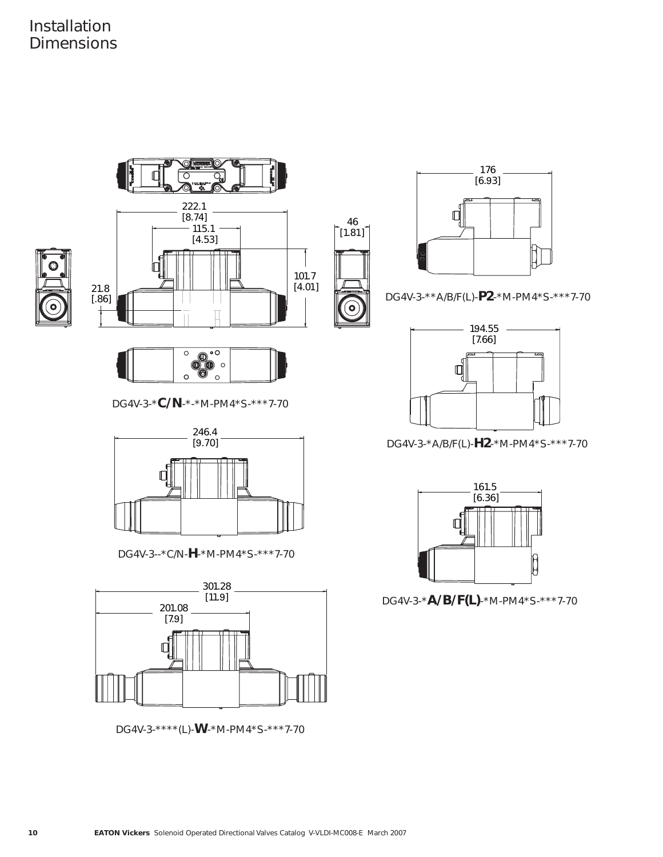



DG4V-3-\*\*A/B/F(L)-**P2**-\*M-PM4\*S-\*\*\*7-70



DG4V-3-\***C/N**-\*-\*M-PM4\*S-\*\*\*7-70



DG4V-3--\*C/N-**H**-\*M-PM4\*S-\*\*\*7-70



DG4V-3-\*\*\*\*(L)-**W**-\*M-PM4\*S-\*\*\*7-70



DG4V-3-\*A/B/F(L)-**H2**-\*M-PM4\*S-\*\*\*7-70



DG4V-3-\***A/B/F(L)**-\*M-PM4\*S-\*\*\*7-70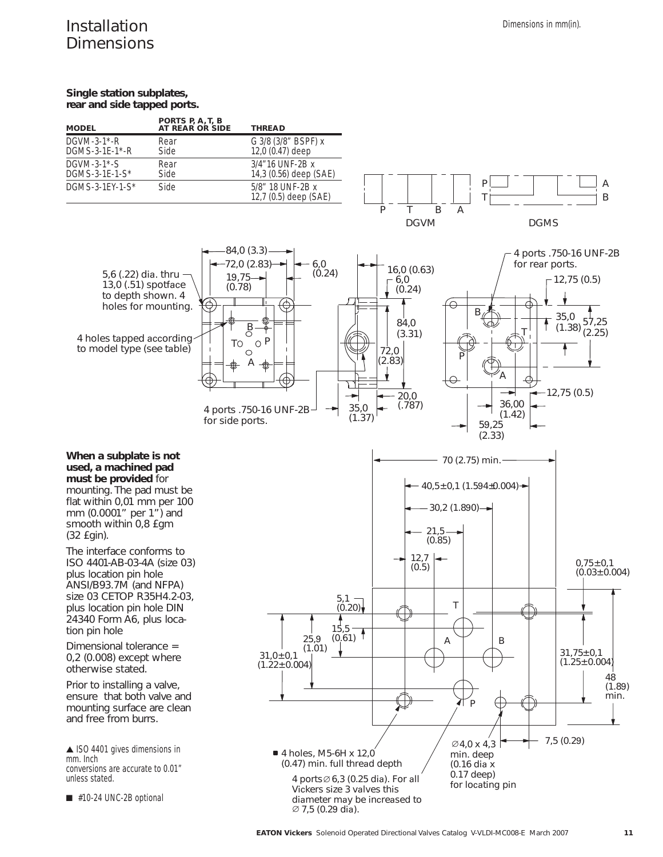## Installation **Dimensions**

#### **Single station subplates, rear and side tapped ports.**

| <b>MODEL</b>        | PORTS P, A, T, B<br>AT REAR OR SIDE | <b>THREAD</b>                             |
|---------------------|-------------------------------------|-------------------------------------------|
| DGVM-3-1 $*$ -R     | Rear                                | G 3/8 (3/8" BSPF) x                       |
| DGMS-3-1E-1*-R      | Side                                | 12,0 (0.47) deep                          |
| DGVM-3-1 $*$ -S     | Rear                                | 3/4"16 UNF-2B x                           |
| DGMS-3-1E-1-S*      | Side                                | 14,3 (0.56) deep (SAE)                    |
| DGMS-3-1EY-1- $S^*$ | Side                                | 5/8" 18 UNF-2B x<br>12,7 (0.5) deep (SAE) |



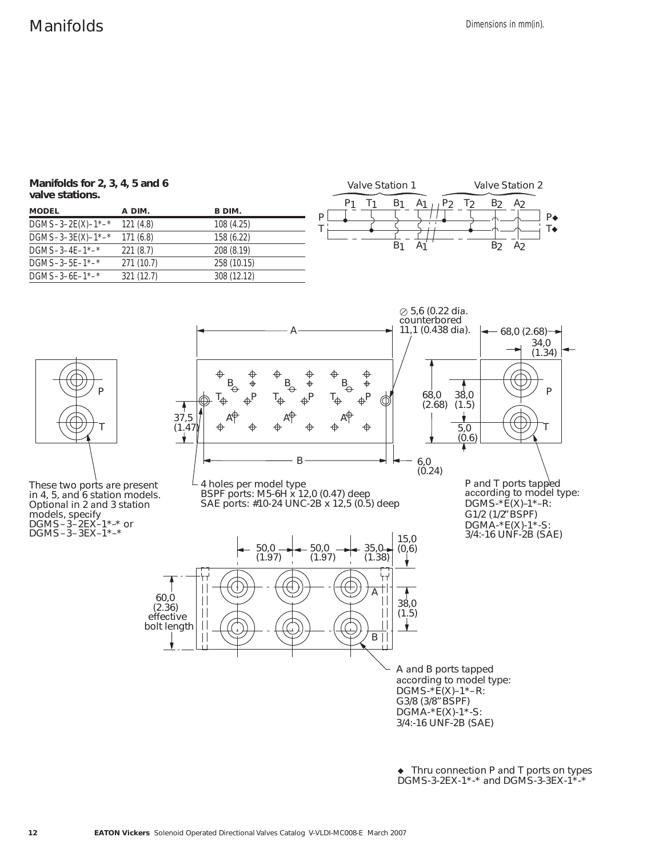**Manifolds for 2, 3, 4, 5 and 6 valve stations.**

| <b>MODEL</b>        | A DIM.     | B DIM.      |
|---------------------|------------|-------------|
| $DGMS-3-2E(X)-1^*-$ | 121(4.8)   | 108 (4.25)  |
| $DGMS-3-3E(X)-1^*-$ | 171(6.8)   | 158 (6.22)  |
| $DGMS-3-4E-1$ *-*   | 221(8.7)   | 208 (8.19)  |
| $DGMS-3-5E-1$ *-*   | 271(10.7)  | 258 (10.15) |
| $DGMS-3-6E-1$ *-*   | 321 (12.7) | 308 (12.12) |





These two ports are present in 4, 5, and 6 station models. Optional in 2 and 3 station models, specify  $DGMS - 3 - 2EX - 1* -^*$  or DGMS-3-3EX-1\*-\*



A and B ports tapped according to model type:  $DGMS^{-*}E(X) - 1^{*-}R$ : G3/8 (3/8 " BSPF) DGMA-\*E(X)-1\*-S: 3/4:-16 UNF-2B (SAE)

• Thru connection P and T ports on types DGMS-3-2EX-1\*-\* and DGMS-3-3EX-1\*-\*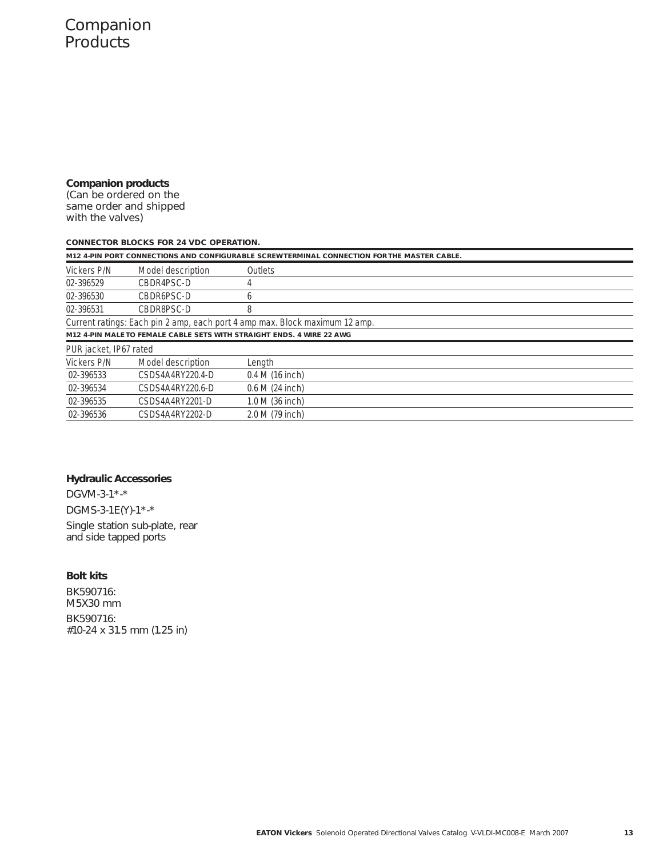**Companion products**  (Can be ordered on the

same order and shipped with the valves)

#### **CONNECTOR BLOCKS FOR 24 VDC OPERATION.**

|                        |                   | M12 4-PIN PORT CONNECTIONS AND CONFIGURABLE SCREW TERMINAL CONNECTION FOR THE MASTER CABLE. |
|------------------------|-------------------|---------------------------------------------------------------------------------------------|
| Vickers P/N            | Model description | <b>Outlets</b>                                                                              |
| 02-396529              | CBDR4PSC-D        | 4                                                                                           |
| 02-396530              | CBDR6PSC-D        | 6                                                                                           |
| 02-396531              | CBDR8PSC-D        | 8                                                                                           |
|                        |                   | Current ratings: Each pin 2 amp, each port 4 amp max. Block maximum 12 amp.                 |
|                        |                   | M12 4-PIN MALE TO FEMALE CABLE SETS WITH STRAIGHT ENDS. 4 WIRE 22 AWG                       |
| PUR jacket, IP67 rated |                   |                                                                                             |
| Vickers P/N            | Model description | Length                                                                                      |
| 02-396533              | CSDS4A4RY220.4-D  | $0.4 M(16$ inch)                                                                            |
| 02-396534              | CSDS4A4RY220.6-D  | 0.6 M (24 inch)                                                                             |
| 02-396535              | CSDS4A4RY2201-D   | 1.0 M (36 inch)                                                                             |
| 02-396536              | CSDS4A4RY2202-D   | 2.0 M (79 inch)                                                                             |
|                        |                   |                                                                                             |

#### **Hydraulic Accessories**

DGVM-3-1\*-\* DGMS-3-1E(Y)-1\*-\* Single station sub-plate, rear and side tapped ports

#### **Bolt kits**

BK590716: M5X30 mm BK590716: #10-24 x 31.5 mm (1.25 in)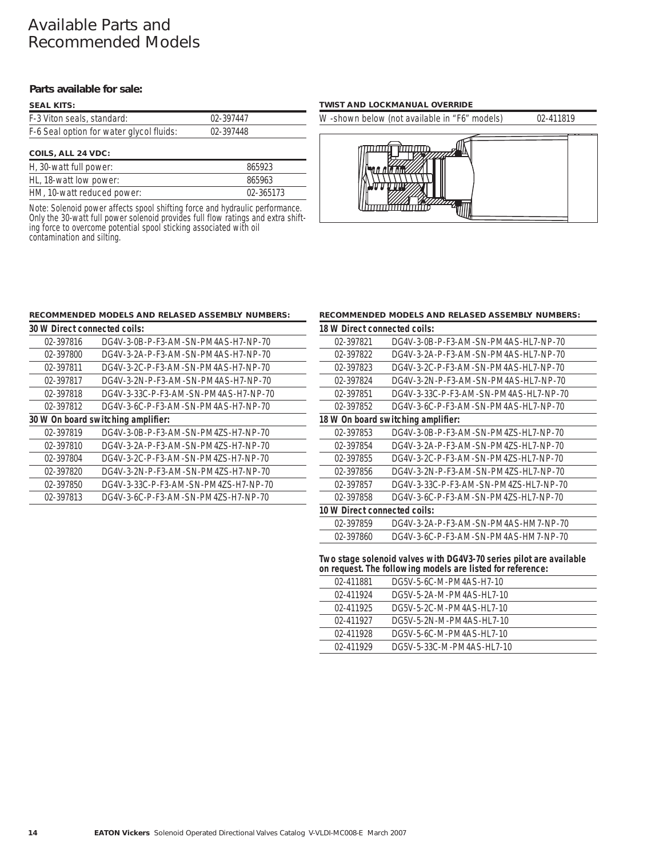## Available Parts and Recommended Models

#### **Parts available for sale:**

#### **COILS, ALL 24 VDC: SEAL KITS:**  F-3 Viton seals, standard: 02-397447 F-6 Seal option for water glycol fluids: 02-397448

| <b>OUILD, ALL 27 VDU.</b>  |           |  |  |
|----------------------------|-----------|--|--|
| H, 30-watt full power:     | 865923    |  |  |
| HL, 18-watt low power:     | 865963    |  |  |
| HM, 10-watt reduced power: | 02-365173 |  |  |

Note: Solenoid power affects spool shifting force and hydraulic performance. Only the 30-watt full power solenoid provides full flow ratings and extra shifting force to overcome potential spool sticking associated with oil contamination and silting.

#### **TWIST AND LOCKMANUAL OVERRIDE**

W -shown below (not available in "F6" models) 02-411819



#### **RECOMMENDED MODELS AND RELASED ASSEMBLY NUMBERS:**

| 30 W Direct connected coils:       |                                      |  |  |  |
|------------------------------------|--------------------------------------|--|--|--|
| 02-397816                          | DG4V-3-0B-P-F3-AM-SN-PM4AS-H7-NP-70  |  |  |  |
| 02-397800                          | DG4V-3-2A-P-F3-AM-SN-PM4AS-H7-NP-70  |  |  |  |
| 02-397811                          | DG4V-3-2C-P-F3-AM-SN-PM4AS-H7-NP-70  |  |  |  |
| 02-397817                          | DG4V-3-2N-P-F3-AM-SN-PM4AS-H7-NP-70  |  |  |  |
| 02-397818                          | DG4V-3-33C-P-F3-AM-SN-PM4AS-H7-NP-70 |  |  |  |
| 02-397812                          | DG4V-3-6C-P-F3-AM-SN-PM4AS-H7-NP-70  |  |  |  |
| 30 W On board switching amplifier: |                                      |  |  |  |
| 02-397819                          | DG4V-3-0B-P-F3-AM-SN-PM4ZS-H7-NP-70  |  |  |  |
| 02-397810                          | DG4V-3-2A-P-F3-AM-SN-PM4ZS-H7-NP-70  |  |  |  |
| 02-397804                          | DG4V-3-2C-P-F3-AM-SN-PM4ZS-H7-NP-70  |  |  |  |
| 02-397820                          | DG4V-3-2N-P-F3-AM-SN-PM4ZS-H7-NP-70  |  |  |  |
| 02-397850                          | DG4V-3-33C-P-F3-AM-SN-PM4ZS-H7-NP-70 |  |  |  |
| 02-397813                          | DG4V-3-6C-P-F3-AM-SN-PM4ZS-H7-NP-70  |  |  |  |

#### **RECOMMENDED MODELS AND RELASED ASSEMBLY NUMBERS:**

| 18 W Direct connected coils:       |                                       |  |  |  |
|------------------------------------|---------------------------------------|--|--|--|
| 02-397821                          | DG4V-3-0B-P-F3-AM-SN-PM4AS-HL7-NP-70  |  |  |  |
| 02-397822                          | DG4V-3-2A-P-F3-AM-SN-PM4AS-HL7-NP-70  |  |  |  |
| 02-397823                          | DG4V-3-2C-P-F3-AM-SN-PM4AS-HL7-NP-70  |  |  |  |
| 02-397824                          | DG4V-3-2N-P-F3-AM-SN-PM4AS-HL7-NP-70  |  |  |  |
| 02-397851                          | DG4V-3-33C-P-F3-AM-SN-PM4AS-HL7-NP-70 |  |  |  |
| 02-397852                          | DG4V-3-6C-P-F3-AM-SN-PM4AS-HL7-NP-70  |  |  |  |
| 18 W On board switching amplifier: |                                       |  |  |  |
| 02-397853                          | DG4V-3-0B-P-F3-AM-SN-PM4ZS-HL7-NP-70  |  |  |  |
| 02-397854                          | DG4V-3-2A-P-F3-AM-SN-PM4ZS-HL7-NP-70  |  |  |  |
| 02-397855                          | DG4V-3-2C-P-F3-AM-SN-PM4ZS-HL7-NP-70  |  |  |  |
| 02-397856                          | DG4V-3-2N-P-F3-AM-SN-PM4ZS-HL7-NP-70  |  |  |  |
| 02-397857                          | DG4V-3-33C-P-F3-AM-SN-PM4ZS-HL7-NP-70 |  |  |  |
| 02-397858                          | DG4V-3-6C-P-F3-AM-SN-PM4ZS-HL7-NP-70  |  |  |  |
| 10 W Direct connected coils:       |                                       |  |  |  |
| 02-397859                          | DG4V-3-2A-P-F3-AM-SN-PM4AS-HM7-NP-70  |  |  |  |
| 02-397860                          | DG4V-3-6C-P-F3-AM-SN-PM4AS-HM7-NP-70  |  |  |  |

**Two stage solenoid valves with DG4V3-70 series pilot are available on request. The following models are listed for reference:**

| 02-411881 | DG5V-5-6C-M-PM4AS-H7-10   |  |
|-----------|---------------------------|--|
| 02-411924 | DG5V-5-2A-M-PM4AS-HL7-10  |  |
| 02-411925 | DG5V-5-2C-M-PM4AS-HL7-10  |  |
| 02-411927 | DG5V-5-2N-M-PM4AS-HL7-10  |  |
| 02-411928 | DG5V-5-6C-M-PM4AS-HL7-10  |  |
| 02-411929 | DG5V-5-33C-M-PM4AS-HL7-10 |  |